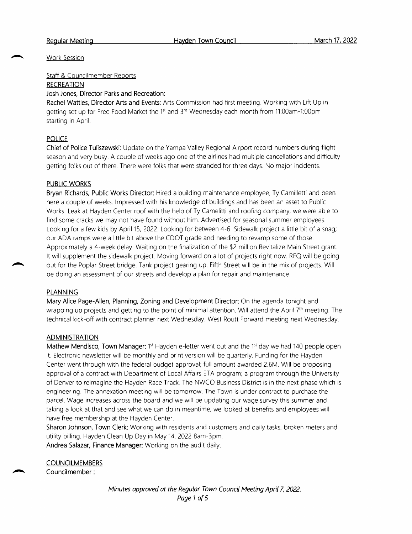Work Session

Staff & Councilmember Reports

### RECREATION

### Josh Jones, Director Parks and Recreation:

Rachel Wattles, Director Arts and Events: Arts Commission had first meeting. Working with Lift Up in RECREATION<br>Josh Jones, Director Parks and Recreation:<br>Rachel Wattles, Director Arts and Events: Arts Commission had first meeting. Working with Lift Uppetting set up for Free Food Market the 1<sup>st</sup> and 3<sup>rd</sup> Wednesday each starting in April.

# **POLICE**

Chief of Police Tuliszewski: Update on the Yampa Valley Regional Airport record numbers during flight season and very busy. <sup>A</sup> couple of weeks ago one of the airlines had multiple cancellations and difficulty getting folks out of there. There were folks that were stranded for three days. No major incidents.

# PUBLIC WORKS

Bryan Richards, Public Works Director: Hired <sup>a</sup> building maintenance employee, Ty Camilletti and been here <sup>a</sup> couple of weeks. Impressed with his knowledge of buildings and has been an asset to Public Works. Leak at Hayden Center roof with the help of Ty Camelitti and roofing company, we were able to find some cracks we may not have found without him. Advertised for seasonal summer employees. Looking for <sup>a</sup> few kids by April 15, 2022. Looking for between 4-6. Sidewalk project <sup>a</sup> little bit of <sup>a</sup> snag; our ADA ramps were <sup>a</sup> little bit above the CDOT grade and needing to revamp some of those. Approximately a 4-week delay. Waiting on the finalization of the \$2 million Revitalize Main Street grant. It will supplement the sidewalk project. Moving forward on <sup>a</sup> lot of projects right now. RFQ will be going out for the Poplar Street bridge. Tank project gearing up. Fifth Street will be in the mix of projects. Will be doing an assessment of our streets and develop <sup>a</sup> plan for repair and maintenance.

# PLANNING

Mary Alice Page - Allen, Planning, Zoning and Development Director: On the agenda tonight and wrapping up projects and getting to the point of minimal attention. Will attend the April 7<sup>th</sup> meeting. The technical kick- off with contract planner next Wednesday. West Routt Forward meeting next Wednesday.

#### ADMINISTRATION

Mathew Mendisco, Town Manager: 1<sup>st</sup> Hayden e-letter went out and the 1<sup>st</sup> day we had 140 people open it. Electronic newsletter will be monthly and print version will be quarterly. Funding for the Hayden Center went through with the federal budget approval; full amount awarded 2. 6M. Will be proposing approval of <sup>a</sup> contract with Department of Local Affairs ETA program; <sup>a</sup> program through the University of Denver to reimagine the Hayden Race Track. The NWCO Business District is in the next phase which is engineering. The annexation meeting will be tomorrow. The Town is under contract to purchase the parcel. Wage increases across the board and we will be updating our wage survey this summer and taking <sup>a</sup> look at that and see what we can do in meantime; we looked at benefits and employees will have free membership at the Hayden Center.

Sharon Johnson, Town Clerk: Working with residents and customers and daily tasks, broken meters and utility billing. Hayden Clean Up Day in May 14, <sup>2022</sup> 8am- 3pm. Andrea Salazar, Finance Manager: Working on the audit daily.

**COUNCILMEMBERS** 

Councilmember :

Minutes approved at the Regular Town Council Meeting April 7, 2022. Page <sup>1</sup> of 5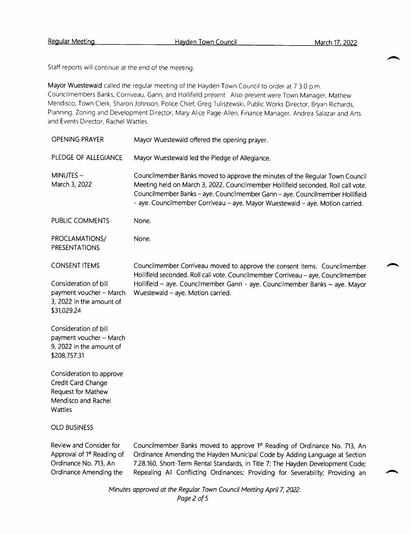Staff reports will continue at the end of the meeting.

Mayor Wuestewald called the regular meeting of the Hayden Town Council to order at 7 3:0 p.m. Councilmembers Banks, Corriveau, Gann, and Hollifield present. Also present were Town Manager, Mathew Mendisco, Town Clerk, Sharon Johnson, Police Chief, Greg Tuliszewski, Public Works Director, Bryan Richards, Planning, Zoning and Development Director, Mary Alice Page - Allen, Finance Manager, Andrea Salazar and Arts and Events Director, Rachel Wattles.

| <b>OPENING PRAYER</b>                                                                                                | Mayor Wuestewald offered the opening prayer.                                                                                                                                                                                                                                                                                        |
|----------------------------------------------------------------------------------------------------------------------|-------------------------------------------------------------------------------------------------------------------------------------------------------------------------------------------------------------------------------------------------------------------------------------------------------------------------------------|
| PLEDGE OF ALLEGIANCE                                                                                                 | Mayor Wuestewald led the Pledge of Allegiance.                                                                                                                                                                                                                                                                                      |
| MINUTES-<br>March 3, 2022                                                                                            | Councilmember Banks moved to approve the minutes of the Regular Town Council<br>Meeting held on March 3, 2022. Councilmember Hollifield seconded. Roll call vote.<br>Councilmember Banks - aye. Councilmember Gann - aye. Councilmember Hollifield<br>- aye. Councilmember Corriveau - aye. Mayor Wuestewald - aye. Motion carried. |
| PUBLIC COMMENTS                                                                                                      | None.                                                                                                                                                                                                                                                                                                                               |
| PROCLAMATIONS/<br>PRESENTATIONS                                                                                      | None.                                                                                                                                                                                                                                                                                                                               |
| <b>CONSENT ITEMS</b>                                                                                                 | Councilmember Corriveau moved to approve the consent items. Councilmember<br>Hollifield seconded. Roll call vote. Councilmember Corriveau - aye. Councilmember                                                                                                                                                                      |
| Consideration of bill<br>payment voucher - March<br>3, 2022 in the amount of<br>\$31,029.24                          | Hollifield - aye. Councilmember Gann - aye. Councilmember Banks - aye. Mayor<br>Wuestewald - aye. Motion carried.                                                                                                                                                                                                                   |
| Consideration of bill<br>payment voucher - March<br>9, 2022 in the amount of<br>\$208,757.31                         |                                                                                                                                                                                                                                                                                                                                     |
| Consideration to approve<br>Credit Card Change<br>Request for Mathew<br>Mendisco and Rachel<br>Wattles               |                                                                                                                                                                                                                                                                                                                                     |
| <b>OLD BUSINESS</b>                                                                                                  |                                                                                                                                                                                                                                                                                                                                     |
| Review and Consider for<br>Approval of 1 <sup>st</sup> Reading of<br>Ordinance No. 713, An<br>Ordinance Amending the | Councilmember Banks moved to approve 1st Reading of Ordinance No. 713, An<br>Ordinance Amending the Hayden Municipal Code by Adding Language at Section<br>7.28.160, Short-Term Rental Standards, in Title 7: The Hayden Development Code;<br>Repealing All Conflicting Ordinances; Providing for Severability; Providing an        |

Minutes approved at the Regular Town Council Meeting April 7, 2022. Page 2 of 5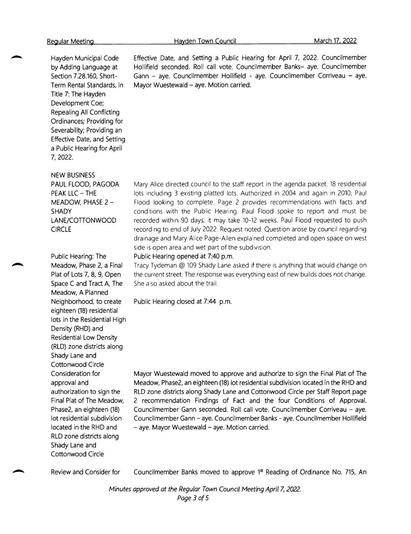Hayden Municipal Code by Adding Language at Section 7.28.160, Short-Term Rental Standards, in Title 7: The Hayden Development Coe; Repealing All Conflicting Ordinances; Providing for Severability; Providing an Effective Date, and Setting <sup>a</sup> Public Hearing for April 7, 2022.

NEW BUSINESS

PAUL FLOOD, PAGODA PEAK LLC — THE MEADOW, PHASE 2 — SHADY LANE/COTTONWOOD CIRCLE

Public Hearing: The Meadow, Phase 2, <sup>a</sup> Final Plat of Lots 7, 8, 9, Open Space <sup>C</sup> and Tract A, The Meadow, A Planned Neighborhood, to create eighteen (18) residential lots in the Residential High Density (RHD) and Residential Low Density RLD) zone districts along Shady Lane and Cottonwood Circle Consideration for approval and authorization to sign the Final Plat of The Meadow, Phase2, an eighteen (18) lot residential subdivision located in the RHD and RLD zone districts along Shady Lane and Cottonwood Circle

Hayden Town Council March 17, 2022

Effective Date, and Setting <sup>a</sup> Public Hearing for April 7, 2022. Councilmember Hollifield seconded. Roll call vote. Councilmember Banks— aye. Councilmember Gann — aye. Councilmember Hollifield - aye. Councilmember Corriveau — aye. Mayor Wuestewald — aye. Motion carried.

Mary Alice directed council to the staff report in the agenda packet. <sup>18</sup> residential lots including <sup>3</sup> existing platted lots. Authorized in 2004 and again in 2010; Paul Flood looking to complete. Page <sup>2</sup> provides recommendations with facts and conditions with the Public Hearing. Paul Flood spoke to report and must be recorded within <sup>90</sup> days; it may take 10-2 weeks. Paul Flood requested to push recording to end of July 2022. Request noted. Question arose by council regarding drainage and Mary Alice Page - Allen explained completed and open space on west side is open area and wet part of the subdivision.

Public Hearing opened at 7:40 p.m.

Tracy Tydeman @ <sup>109</sup> Shady Lane asked if there is anything that would change on the current street. The response was everything east of new builds does not change. She also asked about the trail.

Public Hearing closed at 7:44 p.m.

Mayor Wuestewald moved to approve and authorize to sign the Final Plat of The Meadow, Phase2, an eighteen (18) lot residential subdivision located in the RHD and RLD zone districts along Shady Lane and Cottonwood Circle per Staff Report page <sup>2</sup> recommendation Findings of Fact and the four Conditions of Approval. Councilmember Gann seconded. Roll call vote. Councilmember Corriveau — aye. Councilmember Gann — aye. Councilmember Banks - aye. Councilmember Hollifield aye. Mayor Wuestewald — aye. Motion carried.

Review and Consider for

Councilmember Banks moved to approve 1<sup>st</sup> Reading of Ordinance No. 715, An

Minutes approved at the Regular Town Council Meeting April 7, 2022. Page 3 of 5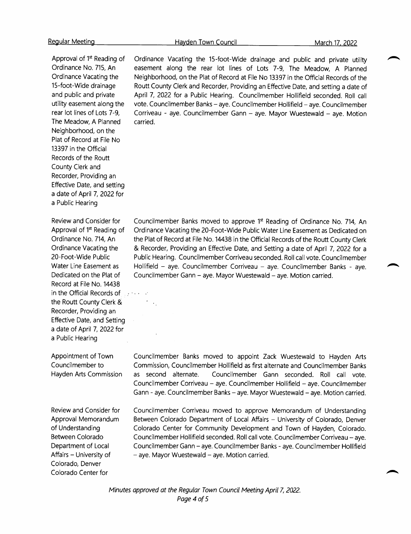Hayden Town Council March 17, 2022

Approval of 1<sup>st</sup> Reading of Ordinance No. 715, An Ordinance Vacating the 15-foot-Wide drainage and public and private utility easement along the rear lot lines of Lots 7-9, The Meadow, A Planned Neighborhood, on the Plat of Record at File No 13397 in the Official Records of the Routt County Clerk and Recorder, Providing an Effective Date, and setting <sup>a</sup> date of April 7, 2022 for <sup>a</sup> Public Hearing

Review and Consider for Approval of 1<sup>st</sup> Reading of Ordinance No. 714, An Ordinance Vacating the 20 -Foot -Wide Public Water Line Easement as Dedicated on the Plat of Record at File No. 14438 in the Official Records of **Figure** the Routt County Clerk & Recorder, Providing an Effective Date, and Setting <sup>a</sup> date of April 7, 2022 for <sup>a</sup> Public Hearing

Appointment of Town Councilmember to Hayden Arts Commission

Review and Consider for Approval Memorandum of Understanding Between Colorado Department of Local Affairs — University of Colorado, Denver Colorado Center for

Ordinance Vacating the 15-foot-Wide drainage and public and private utility easement along the rear lot lines of Lots 7-9, The Meadow, <sup>A</sup> Planned Neighborhood, on the Plat of Record at File No <sup>13397</sup> in the Official Records of the Routt County Clerk and Recorder, Providing an Effective Date, and setting <sup>a</sup> date of April 7, 2022 for <sup>a</sup> Public Hearing. Councilmember Hollifield seconded. Roll call vote. Councilmember Banks — aye. Councilmember Hollifield — aye. Councilmember Corriveau - aye. Councilmember Gann — aye. Mayor Wuestewald — aye. Motion carried.

Councilmember Banks moved to approve 1<sup>st</sup> Reading of Ordinance No. 714, An Ordinance Vacating the 20 -Foot -Wide Public Water Line Easement as Dedicated on the Plat of Record at File No. 14438 in the Official Records of the Routt County Clerk Recorder, Providing an Effective Date, and Setting <sup>a</sup> date of April 7, <sup>2022</sup> for <sup>a</sup> Public Hearing. Councilmember Corriveau seconded. Roll call vote. Councilmember Hollifield — aye. Councilmember Corriveau — aye. Councilmember Banks - aye. Councilmember Gann — aye. Mayor Wuestewald — aye. Motion carried.

Councilmember Banks moved to appoint Zack Wuestewald to Hayden Arts Commission, Councilmember Hollifield as first alternate and Councilmember Banks as second alternate. Councilmember Gann seconded. Roll call vote. Councilmember Corriveau — aye. Councilmember Hollifield — aye. Councilmember Gann - aye. Councilmember Banks — aye. Mayor Wuestewald — aye. Motion carried.

Councilmember Corriveau moved to approve Memorandum of Understanding Between Colorado Department of Local Affairs — University of Colorado, Denver Colorado Center for Community Development and Town of Hayden, Colorado. Councilmember Hollifield seconded. Roll call vote. Councilmember Corriveau — aye. Councilmember Gann — aye. Councilmember Banks - aye. Councilmember Hollifield aye. Mayor Wuestewald — aye. Motion carried.

Minutes approved at the Regular Town Council Meeting April 7, 2022. Page 4 of 5